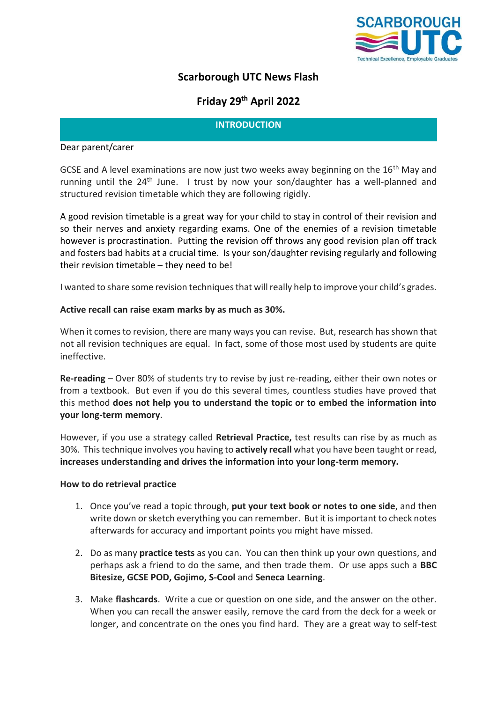

# **Scarborough UTC News Flash**

# **Friday 29 th April 2022**

## **INTRODUCTION**

#### Dear parent/carer

GCSE and A level examinations are now just two weeks away beginning on the 16<sup>th</sup> May and running until the  $24<sup>th</sup>$  June. I trust by now your son/daughter has a well-planned and structured revision timetable which they are following rigidly.

A good revision timetable is a great way for your child to stay in control of their revision and so their nerves and anxiety regarding exams. One of the enemies of a revision timetable however is procrastination. Putting the revision off throws any good revision plan off track and fosters bad habits at a crucial time. Is your son/daughter revising regularly and following their revision timetable – they need to be!

I wanted to share some revision techniques that will really help to improve your child's grades.

## **Active recall can raise exam marks by as much as 30%.**

When it comes to revision, there are many ways you can revise. But, research has shown that not all revision techniques are equal. In fact, some of those most used by students are quite ineffective.

**Re-reading** – Over 80% of students try to revise by just re-reading, either their own notes or from a textbook. But even if you do this several times, countless studies have proved that this method **does not help you to understand the topic or to embed the information into your long-term memory**.

However, if you use a strategy called **Retrieval Practice,** test results can rise by as much as 30%. This technique involves you having to **actively recall** what you have been taught or read, **increases understanding and drives the information into your long-term memory.**

#### **How to do retrieval practice**

- 1. Once you've read a topic through, **put your text book or notes to one side**, and then write down or sketch everything you can remember. But it is important to check notes afterwards for accuracy and important points you might have missed.
- 2. Do as many **practice tests** as you can. You can then think up your own questions, and perhaps ask a friend to do the same, and then trade them. Or use apps such a **BBC Bitesize, GCSE POD, Gojimo, S-Cool** and **Seneca Learning**.
- 3. Make **flashcards**. Write a cue or question on one side, and the answer on the other. When you can recall the answer easily, remove the card from the deck for a week or longer, and concentrate on the ones you find hard. They are a great way to self-test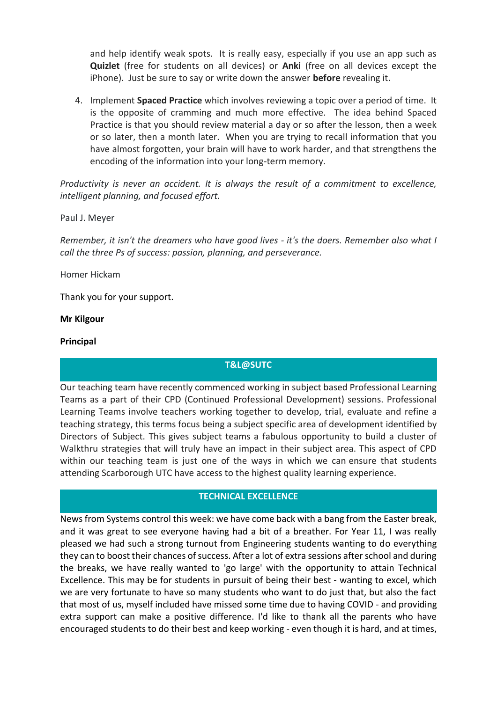and help identify weak spots. It is really easy, especially if you use an app such as **Quizlet** (free for students on all devices) or **Anki** (free on all devices except the iPhone). Just be sure to say or write down the answer **before** revealing it.

4. Implement **Spaced Practice** which involves reviewing a topic over a period of time. It is the opposite of cramming and much more effective. The idea behind Spaced Practice is that you should review material a day or so after the lesson, then a week or so later, then a month later. When you are trying to recall information that you have almost forgotten, your brain will have to work harder, and that strengthens the encoding of the information into your long-term memory.

*Productivity is never an accident. It is always the result of a commitment to excellence, intelligent planning, and focused effort.* 

Paul J. Meyer

*Remember, it isn't the dreamers who have good lives - it's the doers. Remember also what I call the three Ps of success: passion, planning, and perseverance.* 

Homer Hickam

Thank you for your support.

#### **Mr Kilgour**

#### **Principal**

#### **T&L@SUTC**

Our teaching team have recently commenced working in subject based Professional Learning Teams as a part of their CPD (Continued Professional Development) sessions. Professional Learning Teams involve teachers working together to develop, trial, evaluate and refine a teaching strategy, this terms focus being a subject specific area of development identified by Directors of Subject. This gives subject teams a fabulous opportunity to build a cluster of Walkthru strategies that will truly have an impact in their subject area. This aspect of CPD within our teaching team is just one of the ways in which we can ensure that students attending Scarborough UTC have access to the highest quality learning experience.

#### **TECHNICAL EXCELLENCE**

News from Systems control this week: we have come back with a bang from the Easter break, and it was great to see everyone having had a bit of a breather. For Year 11, I was really pleased we had such a strong turnout from Engineering students wanting to do everything they can to boost their chances of success. After a lot of extra sessions after school and during the breaks, we have really wanted to 'go large' with the opportunity to attain Technical Excellence. This may be for students in pursuit of being their best - wanting to excel, which we are very fortunate to have so many students who want to do just that, but also the fact that most of us, myself included have missed some time due to having COVID - and providing extra support can make a positive difference. I'd like to thank all the parents who have encouraged students to do their best and keep working - even though it is hard, and at times,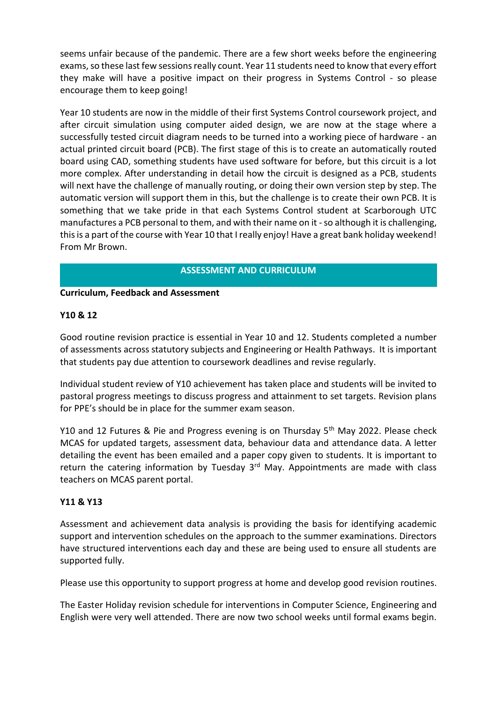seems unfair because of the pandemic. There are a few short weeks before the engineering exams, so these last few sessions really count. Year 11 students need to know that every effort they make will have a positive impact on their progress in Systems Control - so please encourage them to keep going!

Year 10 students are now in the middle of their first Systems Control coursework project, and after circuit simulation using computer aided design, we are now at the stage where a successfully tested circuit diagram needs to be turned into a working piece of hardware - an actual printed circuit board (PCB). The first stage of this is to create an automatically routed board using CAD, something students have used software for before, but this circuit is a lot more complex. After understanding in detail how the circuit is designed as a PCB, students will next have the challenge of manually routing, or doing their own version step by step. The automatic version will support them in this, but the challenge is to create their own PCB. It is something that we take pride in that each Systems Control student at Scarborough UTC manufactures a PCB personal to them, and with their name on it - so although it is challenging, this is a part of the course with Year 10 that I really enjoy! Have a great bank holiday weekend! From Mr Brown.

# **ASSESSMENT AND CURRICULUM**

## **Curriculum, Feedback and Assessment**

# **Y10 & 12**

Good routine revision practice is essential in Year 10 and 12. Students completed a number of assessments across statutory subjects and Engineering or Health Pathways. It is important that students pay due attention to coursework deadlines and revise regularly.

Individual student review of Y10 achievement has taken place and students will be invited to pastoral progress meetings to discuss progress and attainment to set targets. Revision plans for PPE's should be in place for the summer exam season.

Y10 and 12 Futures & Pie and Progress evening is on Thursday 5<sup>th</sup> May 2022. Please check MCAS for updated targets, assessment data, behaviour data and attendance data. A letter detailing the event has been emailed and a paper copy given to students. It is important to return the catering information by Tuesday 3<sup>rd</sup> May. Appointments are made with class teachers on MCAS parent portal.

# **Y11 & Y13**

Assessment and achievement data analysis is providing the basis for identifying academic support and intervention schedules on the approach to the summer examinations. Directors have structured interventions each day and these are being used to ensure all students are supported fully.

Please use this opportunity to support progress at home and develop good revision routines.

The Easter Holiday revision schedule for interventions in Computer Science, Engineering and English were very well attended. There are now two school weeks until formal exams begin.